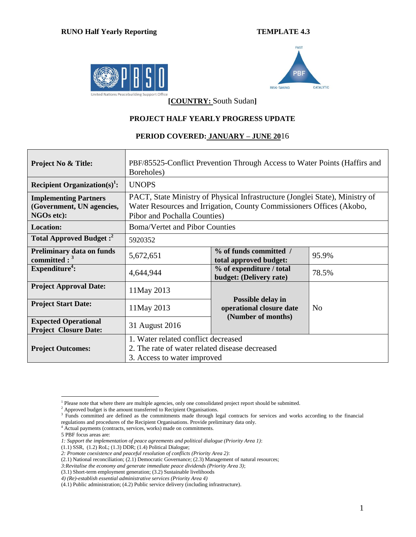## **RUNO Half Yearly Reporting TEMPLATE 4.3**





**[COUNTRY:** South Sudan**]**

### **PROJECT HALF YEARLY PROGRESS UPDATE**

#### **PERIOD COVERED: JANUARY – JUNE 20**16

| <b>Project No &amp; Title:</b>                                                 | PBF/85525-Conflict Prevention Through Access to Water Points (Haffirs and<br>Boreholes)                                                                                              |                                                                                       |  |  |  |  |
|--------------------------------------------------------------------------------|--------------------------------------------------------------------------------------------------------------------------------------------------------------------------------------|---------------------------------------------------------------------------------------|--|--|--|--|
| Recipient Organization(s) <sup>1</sup> :                                       | <b>UNOPS</b>                                                                                                                                                                         |                                                                                       |  |  |  |  |
| <b>Implementing Partners</b><br>(Government, UN agencies,<br><b>NGOs etc):</b> | PACT, State Ministry of Physical Infrastructure (Jonglei State), Ministry of<br>Water Resources and Irrigation, County Commissioners Offices (Akobo,<br>Pibor and Pochalla Counties) |                                                                                       |  |  |  |  |
| <b>Location:</b>                                                               | <b>Boma/Vertet and Pibor Counties</b>                                                                                                                                                |                                                                                       |  |  |  |  |
| Total Approved Budget: <sup>2</sup>                                            | 5920352                                                                                                                                                                              |                                                                                       |  |  |  |  |
| <b>Preliminary data on funds</b><br>committed : $3$                            | 5,672,651                                                                                                                                                                            | % of funds committed /<br>95.9%<br>total approved budget:                             |  |  |  |  |
| Expenditure <sup>4</sup> :                                                     | 4,644,944                                                                                                                                                                            | % of expenditure / total<br>78.5%<br>budget: (Delivery rate)                          |  |  |  |  |
| <b>Project Approval Date:</b>                                                  | 11May 2013                                                                                                                                                                           |                                                                                       |  |  |  |  |
| <b>Project Start Date:</b>                                                     | 11 May 2013                                                                                                                                                                          | Possible delay in<br>operational closure date<br>N <sub>0</sub><br>(Number of months) |  |  |  |  |
| <b>Expected Operational</b><br><b>Project Closure Date:</b>                    | 31 August 2016                                                                                                                                                                       |                                                                                       |  |  |  |  |
| <b>Project Outcomes:</b>                                                       | 1. Water related conflict decreased<br>2. The rate of water related disease decreased<br>3. Access to water improved                                                                 |                                                                                       |  |  |  |  |

 $\overline{a}$ <sup>1</sup> Please note that where there are multiple agencies, only one consolidated project report should be submitted.

 $2$  Approved budget is the amount transferred to Recipient Organisations.

<sup>&</sup>lt;sup>3</sup> Funds committed are defined as the commitments made through legal contracts for services and works according to the financial regulations and procedures of the Recipient Organisations. Provide preliminary data only.

<sup>&</sup>lt;sup>4</sup> Actual payments (contracts, services, works) made on commitments.

<sup>5</sup> PBF focus areas are:

*<sup>1:</sup> Support the implementation of peace agreements and political dialogue (Priority Area 1)*:

<sup>(1.1)</sup> SSR, (1.2) RoL; (1.3) DDR; (1.4) Political Dialogue;

*<sup>2:</sup> Promote coexistence and peaceful resolution of conflicts (Priority Area 2)*:

<sup>(2.1)</sup> National reconciliation; (2.1) Democratic Governance; (2.3) Management of natural resources;

*<sup>3:</sup>Revitalise the economy and generate immediate peace dividends (Priority Area 3)*;

<sup>(3.1)</sup> Short-term employment generation; (3.2) Sustainable livelihoods

*<sup>4)</sup> (Re)-establish essential administrative services (Priority Area 4)*

<sup>(4.1)</sup> Public administration; (4.2) Public service delivery (including infrastructure).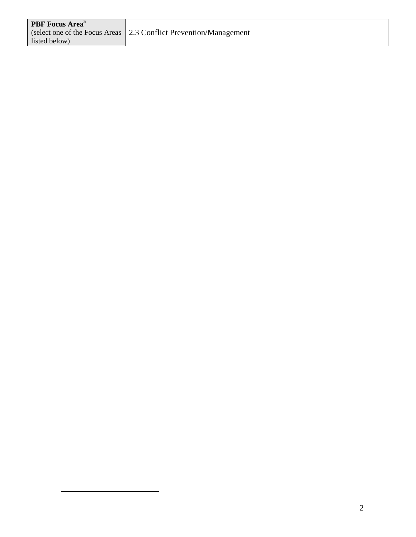| <b>PBF</b> Focus Area <sup>5</sup> |                                                                           |
|------------------------------------|---------------------------------------------------------------------------|
|                                    | (select one of the Focus Areas $\vert 2.3$ Conflict Prevention/Management |
| listed below)                      |                                                                           |

 $\overline{a}$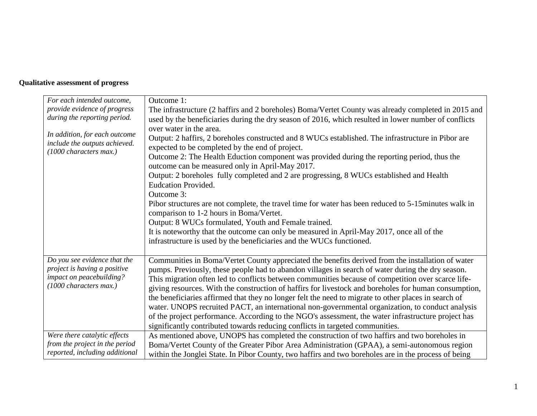# **Qualitative assessment of progress**

| For each intended outcome,                                                               | Outcome 1:                                                                                                                                                                                                                                                                                                                                                                                                                                                                                                                                                                                                                                                                                                                                                                                                                                                  |
|------------------------------------------------------------------------------------------|-------------------------------------------------------------------------------------------------------------------------------------------------------------------------------------------------------------------------------------------------------------------------------------------------------------------------------------------------------------------------------------------------------------------------------------------------------------------------------------------------------------------------------------------------------------------------------------------------------------------------------------------------------------------------------------------------------------------------------------------------------------------------------------------------------------------------------------------------------------|
| provide evidence of progress                                                             | The infrastructure (2 haffirs and 2 boreholes) Boma/Vertet County was already completed in 2015 and                                                                                                                                                                                                                                                                                                                                                                                                                                                                                                                                                                                                                                                                                                                                                         |
| during the reporting period.                                                             | used by the beneficiaries during the dry season of 2016, which resulted in lower number of conflicts                                                                                                                                                                                                                                                                                                                                                                                                                                                                                                                                                                                                                                                                                                                                                        |
| In addition, for each outcome<br>include the outputs achieved.<br>(1000 characters max.) | over water in the area.<br>Output: 2 haffirs, 2 boreholes constructed and 8 WUCs established. The infrastructure in Pibor are<br>expected to be completed by the end of project.<br>Outcome 2: The Health Eduction component was provided during the reporting period, thus the<br>outcome can be measured only in April-May 2017.<br>Output: 2 boreholes fully completed and 2 are progressing, 8 WUCs established and Health<br><b>Eudcation Provided.</b><br>Outcome 3:<br>Pibor structures are not complete, the travel time for water has been reduced to 5-15 minutes walk in<br>comparison to 1-2 hours in Boma/Vertet.<br>Output: 8 WUCs formulated, Youth and Female trained.<br>It is noteworthy that the outcome can only be measured in April-May 2017, once all of the<br>infrastructure is used by the beneficiaries and the WUCs functioned. |
| Do you see evidence that the                                                             | Communities in Boma/Vertet County appreciated the benefits derived from the installation of water                                                                                                                                                                                                                                                                                                                                                                                                                                                                                                                                                                                                                                                                                                                                                           |
| project is having a positive                                                             | pumps. Previously, these people had to abandon villages in search of water during the dry season.                                                                                                                                                                                                                                                                                                                                                                                                                                                                                                                                                                                                                                                                                                                                                           |
| impact on peacebuilding?                                                                 | This migration often led to conflicts between communities because of competition over scarce life-                                                                                                                                                                                                                                                                                                                                                                                                                                                                                                                                                                                                                                                                                                                                                          |
| (1000 characters max.)                                                                   | giving resources. With the construction of haffirs for livestock and boreholes for human consumption,                                                                                                                                                                                                                                                                                                                                                                                                                                                                                                                                                                                                                                                                                                                                                       |
|                                                                                          | the beneficiaries affirmed that they no longer felt the need to migrate to other places in search of                                                                                                                                                                                                                                                                                                                                                                                                                                                                                                                                                                                                                                                                                                                                                        |
|                                                                                          | water. UNOPS recruited PACT, an international non-governmental organization, to conduct analysis                                                                                                                                                                                                                                                                                                                                                                                                                                                                                                                                                                                                                                                                                                                                                            |
|                                                                                          | of the project performance. According to the NGO's assessment, the water infrastructure project has                                                                                                                                                                                                                                                                                                                                                                                                                                                                                                                                                                                                                                                                                                                                                         |
|                                                                                          | significantly contributed towards reducing conflicts in targeted communities.                                                                                                                                                                                                                                                                                                                                                                                                                                                                                                                                                                                                                                                                                                                                                                               |
| Were there catalytic effects                                                             | As mentioned above, UNOPS has completed the construction of two haffirs and two boreholes in                                                                                                                                                                                                                                                                                                                                                                                                                                                                                                                                                                                                                                                                                                                                                                |
| from the project in the period                                                           | Boma/Vertet County of the Greater Pibor Area Administration (GPAA), a semi-autonomous region                                                                                                                                                                                                                                                                                                                                                                                                                                                                                                                                                                                                                                                                                                                                                                |
| reported, including additional                                                           | within the Jonglei State. In Pibor County, two haffirs and two boreholes are in the process of being                                                                                                                                                                                                                                                                                                                                                                                                                                                                                                                                                                                                                                                                                                                                                        |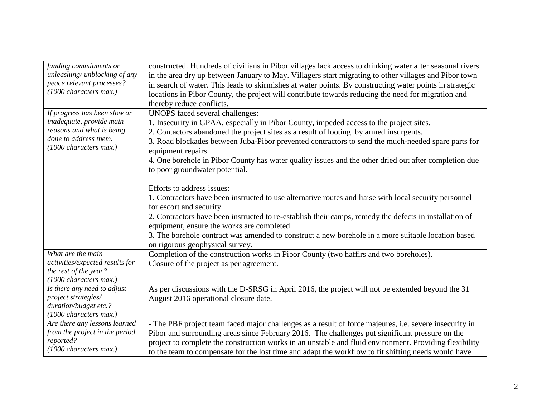| funding commitments or                          | constructed. Hundreds of civilians in Pibor villages lack access to drinking water after seasonal rivers                 |
|-------------------------------------------------|--------------------------------------------------------------------------------------------------------------------------|
| unleashing/ unblocking of any                   | in the area dry up between January to May. Villagers start migrating to other villages and Pibor town                    |
| peace relevant processes?                       | in search of water. This leads to skirmishes at water points. By constructing water points in strategic                  |
| (1000 characters max.)                          | locations in Pibor County, the project will contribute towards reducing the need for migration and                       |
|                                                 | thereby reduce conflicts.                                                                                                |
| If progress has been slow or                    | UNOPS faced several challenges:                                                                                          |
| inadequate, provide main                        | 1. Insecurity in GPAA, especially in Pibor County, impeded access to the project sites.                                  |
| reasons and what is being                       | 2. Contactors abandoned the project sites as a result of looting by armed insurgents.                                    |
| done to address them.<br>(1000 characters max.) | 3. Road blockades between Juba-Pibor prevented contractors to send the much-needed spare parts for<br>equipment repairs. |
|                                                 | 4. One borehole in Pibor County has water quality issues and the other dried out after completion due                    |
|                                                 | to poor groundwater potential.                                                                                           |
|                                                 | Efforts to address issues:                                                                                               |
|                                                 | 1. Contractors have been instructed to use alternative routes and liaise with local security personnel                   |
|                                                 | for escort and security.                                                                                                 |
|                                                 | 2. Contractors have been instructed to re-establish their camps, remedy the defects in installation of                   |
|                                                 | equipment, ensure the works are completed.                                                                               |
|                                                 | 3. The borehole contract was amended to construct a new borehole in a more suitable location based                       |
|                                                 | on rigorous geophysical survey.                                                                                          |
| What are the main                               | Completion of the construction works in Pibor County (two haffirs and two boreholes).                                    |
| activities/expected results for                 | Closure of the project as per agreement.                                                                                 |
| the rest of the year?                           |                                                                                                                          |
| (1000 characters max.)                          |                                                                                                                          |
| Is there any need to adjust                     | As per discussions with the D-SRSG in April 2016, the project will not be extended beyond the 31                         |
| project strategies/                             | August 2016 operational closure date.                                                                                    |
| duration/budget etc.?<br>(1000 characters max.) |                                                                                                                          |
| Are there any lessons learned                   |                                                                                                                          |
| from the project in the period                  | - The PBF project team faced major challenges as a result of force majeures, i.e. severe insecurity in                   |
| reported?                                       | Pibor and surrounding areas since February 2016. The challenges put significant pressure on the                          |
| (1000 characters max.)                          | project to complete the construction works in an unstable and fluid environment. Providing flexibility                   |
|                                                 | to the team to compensate for the lost time and adapt the workflow to fit shifting needs would have                      |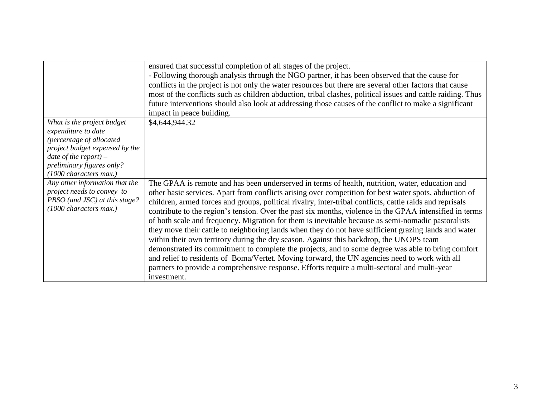|                                | ensured that successful completion of all stages of the project.                                            |
|--------------------------------|-------------------------------------------------------------------------------------------------------------|
|                                | - Following thorough analysis through the NGO partner, it has been observed that the cause for              |
|                                | conflicts in the project is not only the water resources but there are several other factors that cause     |
|                                | most of the conflicts such as children abduction, tribal clashes, political issues and cattle raiding. Thus |
|                                | future interventions should also look at addressing those causes of the conflict to make a significant      |
|                                | impact in peace building.                                                                                   |
| What is the project budget     | \$4,644,944.32                                                                                              |
| expenditure to date            |                                                                                                             |
| (percentage of allocated       |                                                                                                             |
| project budget expensed by the |                                                                                                             |
| date of the report) $-$        |                                                                                                             |
| preliminary figures only?      |                                                                                                             |
| (1000 characters max.)         |                                                                                                             |
| Any other information that the | The GPAA is remote and has been underserved in terms of health, nutrition, water, education and             |
| project needs to convey to     | other basic services. Apart from conflicts arising over competition for best water spots, abduction of      |
| PBSO (and JSC) at this stage?  | children, armed forces and groups, political rivalry, inter-tribal conflicts, cattle raids and reprisals    |
| (1000 characters max.)         | contribute to the region's tension. Over the past six months, violence in the GPAA intensified in terms     |
|                                | of both scale and frequency. Migration for them is inevitable because as semi-nomadic pastoralists          |
|                                | they move their cattle to neighboring lands when they do not have sufficient grazing lands and water        |
|                                |                                                                                                             |
|                                | within their own territory during the dry season. Against this backdrop, the UNOPS team                     |
|                                | demonstrated its commitment to complete the projects, and to some degree was able to bring comfort          |
|                                | and relief to residents of Boma/Vertet. Moving forward, the UN agencies need to work with all               |
|                                | partners to provide a comprehensive response. Efforts require a multi-sectoral and multi-year               |
|                                | investment.                                                                                                 |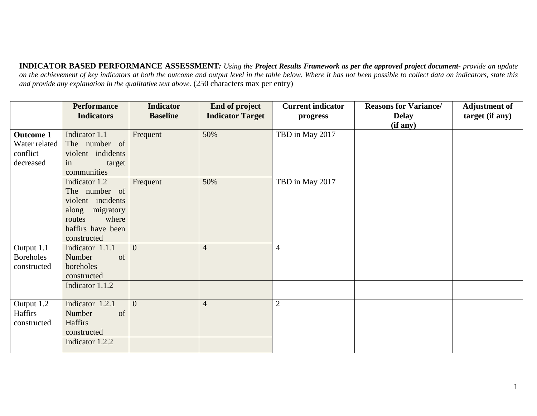**INDICATOR BASED PERFORMANCE ASSESSMENT***: Using the Project Results Framework as per the approved project document- provide an update*  on the achievement of key indicators at both the outcome and output level in the table below. Where it has not been possible to collect data on indicators, state this *and provide any explanation in the qualitative text above.* (250 characters max per entry)

|                                               | <b>Performance</b><br><b>Indicators</b>                                                                                          | <b>Indicator</b><br><b>Baseline</b> | <b>End of project</b><br><b>Indicator Target</b> | <b>Current indicator</b><br>progress | <b>Reasons for Variance/</b><br><b>Delay</b><br>(if any) | <b>Adjustment of</b><br>target (if any) |
|-----------------------------------------------|----------------------------------------------------------------------------------------------------------------------------------|-------------------------------------|--------------------------------------------------|--------------------------------------|----------------------------------------------------------|-----------------------------------------|
| <b>Outcome 1</b><br>Water related<br>conflict | Indicator 1.1<br>The number of<br>violent indidents                                                                              | Frequent                            | 50%                                              | TBD in May 2017                      |                                                          |                                         |
| decreased                                     | target<br>in<br>communities                                                                                                      |                                     |                                                  |                                      |                                                          |                                         |
|                                               | Indicator 1.2<br>The number of<br>violent incidents<br>migratory<br>along<br>where<br>routes<br>haffirs have been<br>constructed | Frequent                            | 50%                                              | TBD in May 2017                      |                                                          |                                         |
| Output 1.1<br><b>Boreholes</b><br>constructed | Indicator 1.1.1<br>Number<br>of<br>boreholes<br>constructed                                                                      | $\theta$                            | $\overline{4}$                                   | $\overline{4}$                       |                                                          |                                         |
|                                               | Indicator 1.1.2                                                                                                                  |                                     |                                                  |                                      |                                                          |                                         |
| Output 1.2<br>Haffirs<br>constructed          | Indicator 1.2.1<br>Number<br>of<br><b>Haffirs</b><br>constructed                                                                 | $\overline{0}$                      | $\overline{4}$                                   | $\overline{2}$                       |                                                          |                                         |
|                                               | Indicator 1.2.2                                                                                                                  |                                     |                                                  |                                      |                                                          |                                         |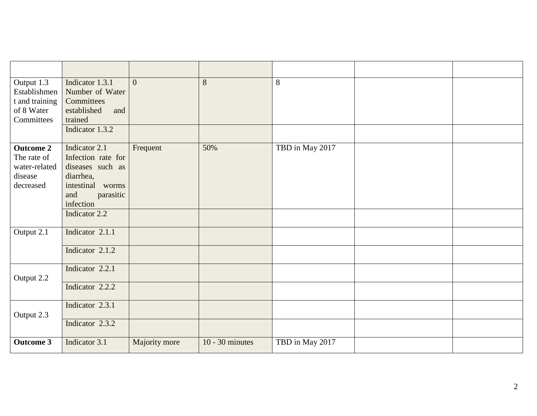| Output 1.3<br>Establishmen<br>t and training<br>of 8 Water<br>Committees | Indicator 1.3.1<br>Number of Water<br>Committees<br>established<br>and<br>trained<br>Indicator 1.3.2                                       | $\overline{0}$ | 8                 | 8               |  |
|--------------------------------------------------------------------------|--------------------------------------------------------------------------------------------------------------------------------------------|----------------|-------------------|-----------------|--|
| <b>Outcome 2</b><br>The rate of<br>water-related<br>disease<br>decreased | Indicator 2.1<br>Infection rate for<br>diseases such as<br>diarrhea,<br>intestinal worms<br>and<br>parasitic<br>infection<br>Indicator 2.2 | Frequent       | 50%               | TBD in May 2017 |  |
| Output 2.1                                                               | Indicator 2.1.1<br>Indicator 2.1.2                                                                                                         |                |                   |                 |  |
| Output 2.2                                                               | Indicator 2.2.1<br>Indicator 2.2.2                                                                                                         |                |                   |                 |  |
| Output 2.3                                                               | Indicator 2.3.1<br>Indicator 2.3.2                                                                                                         |                |                   |                 |  |
| <b>Outcome 3</b>                                                         | Indicator 3.1                                                                                                                              | Majority more  | $10 - 30$ minutes | TBD in May 2017 |  |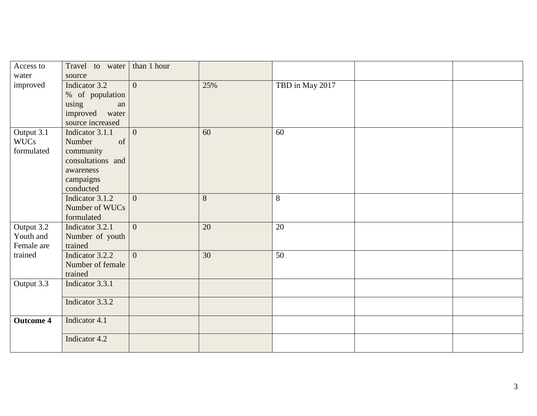| Access to               | Travel to water   | than 1 hour    |                 |                 |  |
|-------------------------|-------------------|----------------|-----------------|-----------------|--|
| water                   | source            |                |                 |                 |  |
| improved                | Indicator 3.2     | $\overline{0}$ | 25%             | TBD in May 2017 |  |
|                         | % of population   |                |                 |                 |  |
|                         | using<br>an       |                |                 |                 |  |
|                         | improved<br>water |                |                 |                 |  |
|                         | source increased  |                |                 |                 |  |
| Output $3.\overline{1}$ | Indicator 3.1.1   | $\overline{0}$ | 60              | 60              |  |
| <b>WUCs</b>             | Number<br>of      |                |                 |                 |  |
| formulated              | community         |                |                 |                 |  |
|                         | consultations and |                |                 |                 |  |
|                         | awareness         |                |                 |                 |  |
|                         | campaigns         |                |                 |                 |  |
|                         | conducted         |                |                 |                 |  |
|                         | Indicator 3.1.2   | $\overline{0}$ | 8               | 8               |  |
|                         | Number of WUCs    |                |                 |                 |  |
|                         | formulated        |                |                 |                 |  |
| Output 3.2              | Indicator 3.2.1   | $\overline{0}$ | $\overline{20}$ | 20              |  |
| Youth and               | Number of youth   |                |                 |                 |  |
| Female are              | trained           |                |                 |                 |  |
| trained                 | Indicator 3.2.2   | $\overline{0}$ | 30              | 50              |  |
|                         |                   |                |                 |                 |  |
|                         | Number of female  |                |                 |                 |  |
|                         | trained           |                |                 |                 |  |
| Output 3.3              | Indicator 3.3.1   |                |                 |                 |  |
|                         | Indicator 3.3.2   |                |                 |                 |  |
|                         |                   |                |                 |                 |  |
| <b>Outcome 4</b>        | Indicator 4.1     |                |                 |                 |  |
|                         |                   |                |                 |                 |  |
|                         | Indicator 4.2     |                |                 |                 |  |